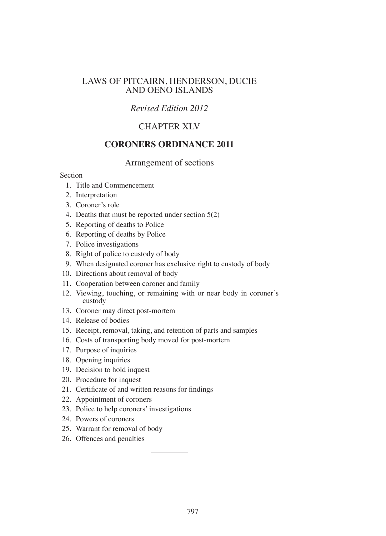### LAWS OF PITCAIRN, HENDERSON, DUCIE AND OENO ISLANDS

## *Revised Edition 2012*

# CHAPTER XLV

### **CORONERS ORDINANCE 2011**

### Arrangement of sections

#### Section

- 1. Title and Commencement
- 2. Interpretation
- 3. Coroner's role
- 4. Deaths that must be reported under section 5(2)
- 5. Reporting of deaths to Police
- 6. Reporting of deaths by Police
- 7. Police investigations
- 8. Right of police to custody of body
- 9. When designated coroner has exclusive right to custody of body
- 10. Directions about removal of body
- 11. Cooperation between coroner and family
- 12. Viewing, touching, or remaining with or near body in coroner's custody
- 13. Coroner may direct post-mortem
- 14. Release of bodies
- 15. Receipt, removal, taking, and retention of parts and samples
- 16. Costs of transporting body moved for post-mortem
- 17. Purpose of inquiries
- 18. Opening inquiries
- 19. Decision to hold inquest
- 20. Procedure for inquest
- 21. Certificate of and written reasons for findings
- 22. Appointment of coroners
- 23. Police to help coroners' investigations
- 24. Powers of coroners
- 25. Warrant for removal of body
- 26. Offences and penalties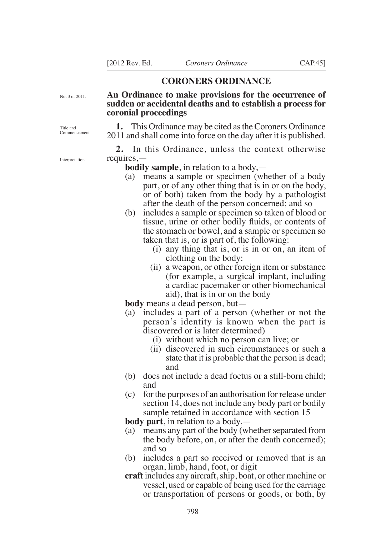#### **CORONERS ORDINANCE**

No. 3 of 2011.

Title and Commencement

Interpretation

### **An Ordinance to make provisions for the occurrence of sudden or accidental deaths and to establish a process for coronial proceedings**

**1.** This Ordinance may be cited as the Coroners Ordinance 2011 and shall come into force on the day after it is published.

**2.** In this Ordinance, unless the context otherwise requires,—

**bodily sample**, in relation to a body,—

- (a) means a sample or specimen (whether of a body part, or of any other thing that is in or on the body, or of both) taken from the body by a pathologist after the death of the person concerned; and so
- (b) includes a sample or specimen so taken of blood or tissue, urine or other bodily luids, or contents of the stomach or bowel, and a sample or specimen so taken that is, or is part of, the following:
	- (i) any thing that is, or is in or on, an item of clothing on the body:
	- (ii) a weapon, or other foreign item or substance (for example, a surgical implant, including a cardiac pacemaker or other biomechanical aid), that is in or on the body

**body** means a dead person, but—

- (a) includes a part of a person (whether or not the person's identity is known when the part is discovered or is later determined)
	- (i) without which no person can live; or
	- (ii) discovered in such circumstances or such a state that it is probable that the person is dead; and
- (b) does not include a dead foetus or a still-born child; and
- (c) for the purposes of an authorisation for release under section 14, does not include any body part or bodily sample retained in accordance with section 15

**body part**, in relation to a body,—

- (a) means any part of the body (whether separated from the body before, on, or after the death concerned); and so
- (b) includes a part so received or removed that is an organ, limb, hand, foot, or digit
- **craft** includes any aircraft, ship, boat, or other machine or vessel, used or capable of being used for the carriage or transportation of persons or goods, or both, by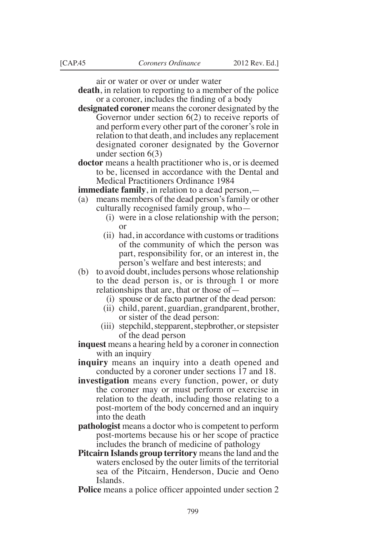air or water or over or under water

**death**, in relation to reporting to a member of the police or a coroner, includes the finding of a body

**designated coroner** means the coroner designated by the Governor under section 6(2) to receive reports of and perform every other part of the coroner's role in relation to that death, and includes any replacement designated coroner designated by the Governor under section 6(3)

**doctor** means a health practitioner who is, or is deemed to be, licensed in accordance with the Dental and Medical Practitioners Ordinance 1984

**immediate family**, in relation to a dead person,—

- (a) means members of the dead person's family or other culturally recognised family group, who—
	- (i) were in a close relationship with the person; or
	- (ii) had, in accordance with customs or traditions of the community of which the person was part, responsibility for, or an interest in, the person's welfare and best interests; and
- (b) to avoid doubt, includes persons whose relationship to the dead person is, or is through 1 or more relationships that are, that or those of—
	- (i) spouse or de facto partner of the dead person:
	- (ii) child, parent, guardian, grandparent, brother, or sister of the dead person:
	- (iii) stepchild, stepparent, stepbrother, or stepsister of the dead person

**inquest** means a hearing held by a coroner in connection with an inquiry

**inquiry** means an inquiry into a death opened and conducted by a coroner under sections 17 and 18.

**investigation** means every function, power, or duty the coroner may or must perform or exercise in relation to the death, including those relating to a post-mortem of the body concerned and an inquiry into the death

**pathologist** means a doctor who is competent to perform post-mortems because his or her scope of practice includes the branch of medicine of pathology

**Pitcairn Islands group territory** means the land and the waters enclosed by the outer limits of the territorial sea of the Pitcairn, Henderson, Ducie and Oeno Islands.

**Police** means a police officer appointed under section 2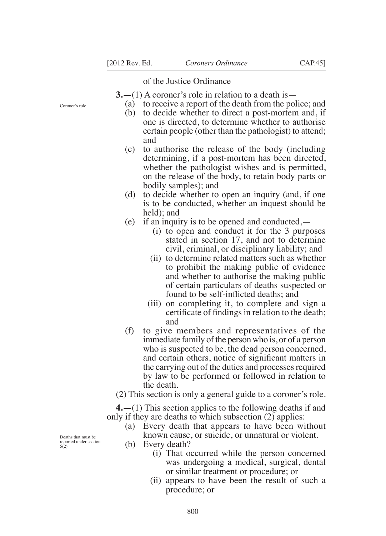Coroner's role

of the Justice Ordinance

**3.—**(1) A coroner's role in relation to a death is—

- (a) to receive a report of the death from the police; and
- (b) to decide whether to direct a post-mortem and, if one is directed, to determine whether to authorise certain people (other than the pathologist) to attend; and
- (c) to authorise the release of the body (including determining, if a post-mortem has been directed, whether the pathologist wishes and is permitted, on the release of the body, to retain body parts or bodily samples); and
- (d) to decide whether to open an inquiry (and, if one is to be conducted, whether an inquest should be held); and
- (e) if an inquiry is to be opened and conducted,—
	- (i) to open and conduct it for the 3 purposes stated in section 17, and not to determine civil, criminal, or disciplinary liability; and
	- (ii) to determine related matters such as whether to prohibit the making public of evidence and whether to authorise the making public of certain particulars of deaths suspected or found to be self-inflicted deaths; and
	- (iii) on completing it, to complete and sign a certificate of findings in relation to the death; and
- (f) to give members and representatives of the immediate family of the person who is, or of a person who is suspected to be, the dead person concerned, and certain others, notice of significant matters in the carrying out of the duties and processes required by law to be performed or followed in relation to the death.

(2) This section is only a general guide to a coroner's role.

**4.—**(1) This section applies to the following deaths if and only if they are deaths to which subsection (2) applies:

(a) Every death that appears to have been without known cause, or suicide, or unnatural or violent.

(b) Every death?

- (i) That occurred while the person concerned was undergoing a medical, surgical, dental or similar treatment or procedure; or
- (ii) appears to have been the result of such a procedure; or

Deaths that must be reported under section 5(2)

800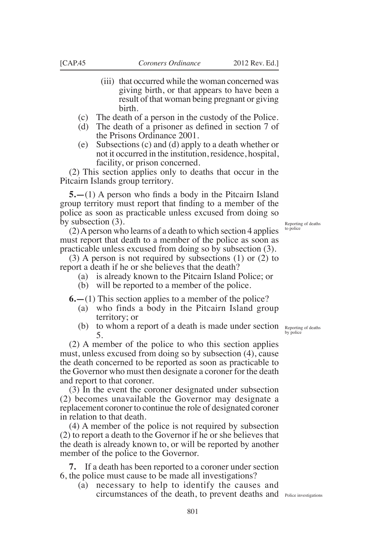- (iii) that occurred while the woman concerned was giving birth, or that appears to have been a result of that woman being pregnant or giving birth.
- (c) The death of a person in the custody of the Police.
- (d) The death of a prisoner as deined in section 7 of the Prisons Ordinance 2001.
- (e) Subsections (c) and (d) apply to a death whether or not it occurred in the institution, residence, hospital, facility, or prison concerned.

(2) This section applies only to deaths that occur in the Pitcairn Islands group territory.

**5.—(1)** A person who finds a body in the Pitcairn Island group territory must report that inding to a member of the police as soon as practicable unless excused from doing so by subsection (3).

(2) A person who learns of a death to which section 4 applies must report that death to a member of the police as soon as practicable unless excused from doing so by subsection (3).

(3) A person is not required by subsections (1) or (2) to report a death if he or she believes that the death?

- (a) is already known to the Pitcairn Island Police; or
- (b) will be reported to a member of the police.

**6.—**(1) This section applies to a member of the police?

- (a) who finds a body in the Pitcairn Island group territory; or
- (b) to whom a report of a death is made under section  $R_{\text{eppotting of deaths}}$ 5.

(2) A member of the police to who this section applies must, unless excused from doing so by subsection (4), cause the death concerned to be reported as soon as practicable to the Governor who must then designate a coroner for the death and report to that coroner.

(3) In the event the coroner designated under subsection (2) becomes unavailable the Governor may designate a replacement coroner to continue the role of designated coroner in relation to that death.

(4) A member of the police is not required by subsection (2) to report a death to the Governor if he or she believes that the death is already known to, or will be reported by another member of the police to the Governor.

**7.** If a death has been reported to a coroner under section 6, the police must cause to be made all investigations?

(a) necessary to help to identify the causes and circumstances of the death, to prevent deaths and Police investigations

Reporting of deaths to police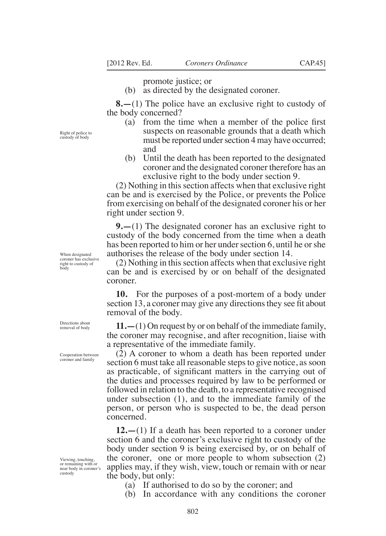promote justice; or

(b) as directed by the designated coroner.

**8.—**(1) The police have an exclusive right to custody of the body concerned?

- (a) from the time when a member of the police first suspects on reasonable grounds that a death which must be reported under section 4 may have occurred; and
- (b) Until the death has been reported to the designated coroner and the designated coroner therefore has an exclusive right to the body under section 9.

(2) Nothing in this section affects when that exclusive right can be and is exercised by the Police, or prevents the Police from exercising on behalf of the designated coroner his or her right under section 9.

**9.—**(1) The designated coroner has an exclusive right to custody of the body concerned from the time when a death has been reported to him or her under section 6, until he or she authorises the release of the body under section 14.

(2) Nothing in this section affects when that exclusive right can be and is exercised by or on behalf of the designated coroner.

**10.** For the purposes of a post-mortem of a body under section 13, a coroner may give any directions they see fit about removal of the body.

**11.—**(1) On request by or on behalf of the immediate family, the coroner may recognise, and after recognition, liaise with a representative of the immediate family.

(2) A coroner to whom a death has been reported under section 6 must take all reasonable steps to give notice, as soon as practicable, of significant matters in the carrying out of the duties and processes required by law to be performed or followed in relation to the death, to a representative recognised under subsection (1), and to the immediate family of the person, or person who is suspected to be, the dead person concerned.

**12.—**(1) If a death has been reported to a coroner under section 6 and the coroner's exclusive right to custody of the body under section 9 is being exercised by, or on behalf of the coroner, one or more people to whom subsection (2) applies may, if they wish, view, touch or remain with or near the body, but only:

- (a) If authorised to do so by the coroner; and
- (b) In accordance with any conditions the coroner

Right of police to custody of body

When designated coroner has exclusive right to custody of body

Directions about removal of body

Cooperation between coroner and family

Viewing, touching, or remaining with or near body in coroner's custody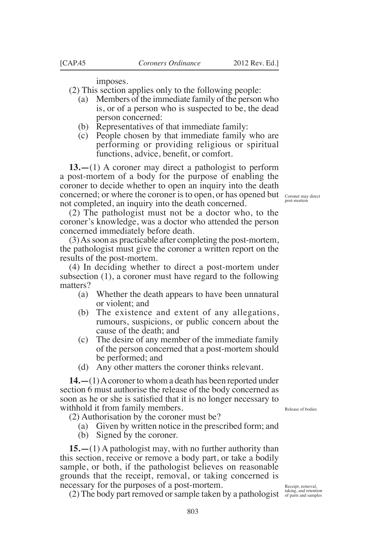imposes.

(2) This section applies only to the following people:

- (a) Members of the immediate family of the person who is, or of a person who is suspected to be, the dead person concerned:
- (b) Representatives of that immediate family:
- (c) People chosen by that immediate family who are performing or providing religious or spiritual functions, advice, benefit, or comfort.

**13.—**(1) A coroner may direct a pathologist to perform a post-mortem of a body for the purpose of enabling the coroner to decide whether to open an inquiry into the death concerned; or where the coroner is to open, or has opened but Coroner may direct not completed, an inquiry into the death concerned.

(2) The pathologist must not be a doctor who, to the coroner's knowledge, was a doctor who attended the person concerned immediately before death.

(3) As soon as practicable after completing the post-mortem, the pathologist must give the coroner a written report on the results of the post-mortem.

(4) In deciding whether to direct a post-mortem under subsection (1), a coroner must have regard to the following matters?

- (a) Whether the death appears to have been unnatural or violent; and
- (b) The existence and extent of any allegations, rumours, suspicions, or public concern about the cause of the death; and
- (c) The desire of any member of the immediate family of the person concerned that a post-mortem should be performed; and
- (d) Any other matters the coroner thinks relevant.

**14.—**(1) A coroner to whom a death has been reported under section 6 must authorise the release of the body concerned as soon as he or she is satisied that it is no longer necessary to withhold it from family members.

Release of bodies

(2) Authorisation by the coroner must be?

- (a) Given by written notice in the prescribed form; and
- (b) Signed by the coroner.

**15.—**(1) A pathologist may, with no further authority than this section, receive or remove a body part, or take a bodily sample, or both, if the pathologist believes on reasonable grounds that the receipt, removal, or taking concerned is necessary for the purposes of a post-mortem.

(2) The body part removed or sample taken by a pathologist taking, and retention of parts and samples

post-mortem

Receipt, removal,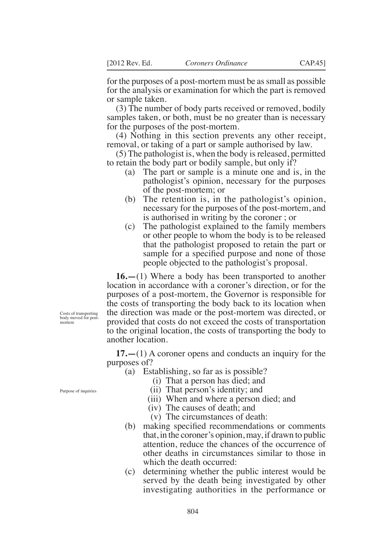for the purposes of a post-mortem must be as small as possible for the analysis or examination for which the part is removed or sample taken.

(3) The number of body parts received or removed, bodily samples taken, or both, must be no greater than is necessary for the purposes of the post-mortem.

(4) Nothing in this section prevents any other receipt, removal, or taking of a part or sample authorised by law.

(5) The pathologist is, when the body is released, permitted to retain the body part or bodily sample, but only if?

- (a) The part or sample is a minute one and is, in the pathologist's opinion, necessary for the purposes of the post-mortem; or
- (b) The retention is, in the pathologist's opinion, necessary for the purposes of the post-mortem, and is authorised in writing by the coroner ; or
- (c) The pathologist explained to the family members or other people to whom the body is to be released that the pathologist proposed to retain the part or sample for a specified purpose and none of those people objected to the pathologist's proposal.

**16.—**(1) Where a body has been transported to another location in accordance with a coroner's direction, or for the purposes of a post-mortem, the Governor is responsible for the costs of transporting the body back to its location when the direction was made or the post-mortem was directed, or provided that costs do not exceed the costs of transportation to the original location, the costs of transporting the body to another location.

**17.—**(1) A coroner opens and conducts an inquiry for the purposes of?

(a) Establishing, so far as is possible?

- (i) That a person has died; and
- (ii) That person's identity; and
- (iii) When and where a person died; and
- (iv) The causes of death; and
- (v) The circumstances of death:
- (b) making specified recommendations or comments that, in the coroner's opinion, may, if drawn to public attention, reduce the chances of the occurrence of other deaths in circumstances similar to those in which the death occurred:
- (c) determining whether the public interest would be served by the death being investigated by other investigating authorities in the performance or

Costs of transporting body moved for post mortem

Purpose of inquiries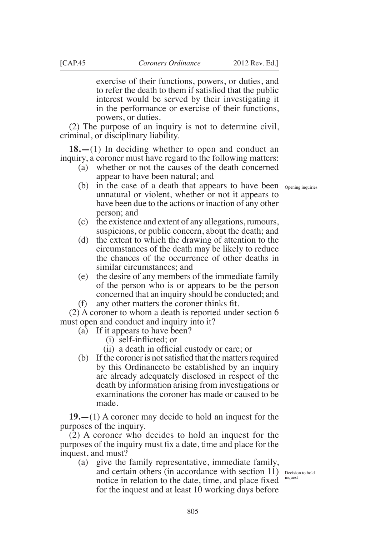exercise of their functions, powers, or duties, and to refer the death to them if satisied that the public interest would be served by their investigating it in the performance or exercise of their functions, powers, or duties.

(2) The purpose of an inquiry is not to determine civil, criminal, or disciplinary liability.

**18.—**(1) In deciding whether to open and conduct an inquiry, a coroner must have regard to the following matters:

(a) whether or not the causes of the death concerned appear to have been natural; and

- (b) in the case of a death that appears to have been  $_{\text{Opening impuries}}$ unnatural or violent, whether or not it appears to have been due to the actions or inaction of any other person; and
- (c) the existence and extent of any allegations, rumours, suspicions, or public concern, about the death; and
- (d) the extent to which the drawing of attention to the circumstances of the death may be likely to reduce the chances of the occurrence of other deaths in similar circumstances; and
- (e) the desire of any members of the immediate family of the person who is or appears to be the person concerned that an inquiry should be conducted; and
- (f) any other matters the coroner thinks it.

(2) A coroner to whom a death is reported under section 6 must open and conduct and inquiry into it?

- (a) If it appears to have been?
	- (i) self-inflicted; or
	- (ii) a death in oficial custody or care; or
- (b) If the coroner is not satisied that the matters required by this Ordinanceto be established by an inquiry are already adequately disclosed in respect of the death by information arising from investigations or examinations the coroner has made or caused to be made.

**19.—**(1) A coroner may decide to hold an inquest for the purposes of the inquiry.

(2) A coroner who decides to hold an inquest for the purposes of the inquiry must ix a date, time and place for the inquest, and must?

(a) give the family representative, immediate family, and certain others (in accordance with section 11) Decision to hold notice in relation to the date, time, and place fixed for the inquest and at least 10 working days before

inquest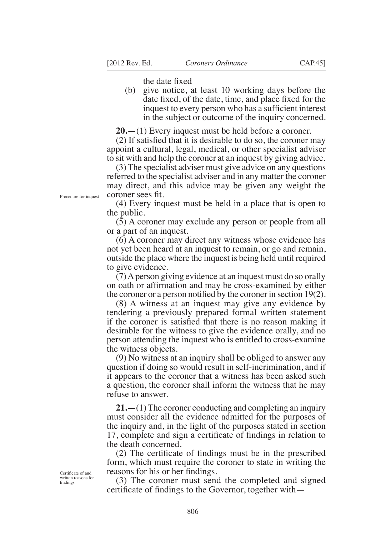the date fixed

(b) give notice, at least 10 working days before the date fixed, of the date, time, and place fixed for the inquest to every person who has a suficient interest in the subject or outcome of the inquiry concerned.

**20.—**(1) Every inquest must be held before a coroner.

(2) If satisied that it is desirable to do so, the coroner may appoint a cultural, legal, medical, or other specialist adviser to sit with and help the coroner at an inquest by giving advice.

(3) The specialist adviser must give advice on any questions referred to the specialist adviser and in any matter the coroner may direct, and this advice may be given any weight the coroner sees fit.

(4) Every inquest must be held in a place that is open to the public.

(5) A coroner may exclude any person or people from all or a part of an inquest.

(6) A coroner may direct any witness whose evidence has not yet been heard at an inquest to remain, or go and remain, outside the place where the inquest is being held until required to give evidence.

(7) A person giving evidence at an inquest must do so orally on oath or afirmation and may be cross-examined by either the coroner or a person notified by the coroner in section  $19(2)$ .

(8) A witness at an inquest may give any evidence by tendering a previously prepared formal written statement if the coroner is satisied that there is no reason making it desirable for the witness to give the evidence orally, and no person attending the inquest who is entitled to cross-examine the witness objects.

(9) No witness at an inquiry shall be obliged to answer any question if doing so would result in self-incrimination, and if it appears to the coroner that a witness has been asked such a question, the coroner shall inform the witness that he may refuse to answer.

**21.—**(1) The coroner conducting and completing an inquiry must consider all the evidence admitted for the purposes of the inquiry and, in the light of the purposes stated in section 17, complete and sign a certificate of findings in relation to the death concerned.

(2) The certiicate of indings must be in the prescribed form, which must require the coroner to state in writing the reasons for his or her findings.

(3) The coroner must send the completed and signed certificate of findings to the Governor, together with—

Procedure for inquest

Certificate of and written reasons for findings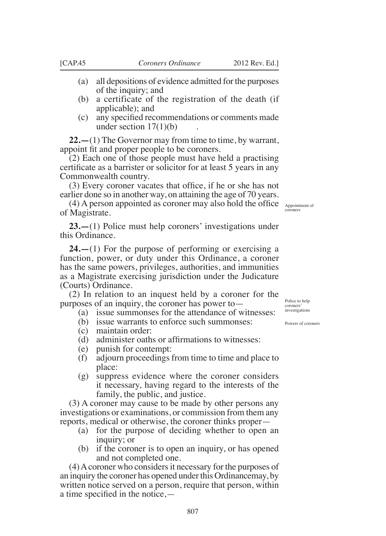- - (a) all depositions of evidence admitted for the purposes of the inquiry; and
	- (b) a certificate of the registration of the death (if applicable); and
	- (c) any speciied recommendations or comments made under section  $17(1)(b)$

**22.—**(1) The Governor may from time to time, by warrant, appoint fit and proper people to be coroners.

(2) Each one of those people must have held a practising certificate as a barrister or solicitor for at least 5 years in any Commonwealth country.

(3) Every coroner vacates that ofice, if he or she has not earlier done so in another way, on attaining the age of 70 years.

(4) A person appointed as coroner may also hold the office Appointment of of Magistrate.

**23.—**(1) Police must help coroners' investigations under this Ordinance.

**24.—**(1) For the purpose of performing or exercising a function, power, or duty under this Ordinance, a coroner has the same powers, privileges, authorities, and immunities as a Magistrate exercising jurisdiction under the Judicature (Courts) Ordinance.

(2) In relation to an inquest held by a coroner for the purposes of an inquiry, the coroner has power to—

- (a) issue summonses for the attendance of witnesses:
- (b) issue warrants to enforce such summonses:
- (c) maintain order:
- (d) administer oaths or afirmations to witnesses:
- (e) punish for contempt:
- (f) adjourn proceedings from time to time and place to place:
- (g) suppress evidence where the coroner considers it necessary, having regard to the interests of the family, the public, and justice.

(3) A coroner may cause to be made by other persons any investigations or examinations, or commission from them any reports, medical or otherwise, the coroner thinks proper—

- (a) for the purpose of deciding whether to open an inquiry; or
- (b) if the coroner is to open an inquiry, or has opened and not completed one.

(4) A coroner who considers it necessary for the purposes of an inquiry the coroner has opened under this Ordinancemay, by written notice served on a person, require that person, within a time specified in the notice,—

coroners

Police to help coroners' investigations

Powers of coroners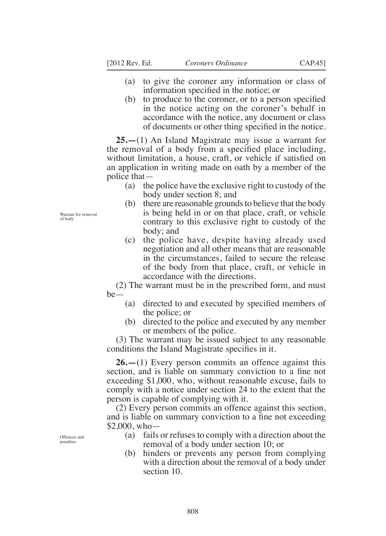- (a) to give the coroner any information or class of information specified in the notice; or
- (b) to produce to the coroner, or to a person specified in the notice acting on the coroner's behalf in accordance with the notice, any document or class of documents or other thing specified in the notice.

**25.—**(1) An Island Magistrate may issue a warrant for the removal of a body from a specified place including, without limitation, a house, craft, or vehicle if satisfied on an application in writing made on oath by a member of the police that—

- (a) the police have the exclusive right to custody of the body under section 8; and
- (b) there are reasonable grounds to believe that the body is being held in or on that place, craft, or vehicle contrary to this exclusive right to custody of the body; and
- (c) the police have, despite having already used negotiation and all other means that are reasonable in the circumstances, failed to secure the release of the body from that place, craft, or vehicle in accordance with the directions.

(2) The warrant must be in the prescribed form, and must be—

- (a) directed to and executed by specified members of the police; or
- (b) directed to the police and executed by any member or members of the police.

(3) The warrant may be issued subject to any reasonable conditions the Island Magistrate specifies in it.

**26.—**(1) Every person commits an offence against this section, and is liable on summary conviction to a fine not exceeding \$1,000, who, without reasonable excuse, fails to comply with a notice under section 24 to the extent that the person is capable of complying with it.

(2) Every person commits an offence against this section, and is liable on summary conviction to a fine not exceeding \$2,000, who—

- (a) fails or refuses to comply with a direction about the removal of a body under section 10; or
- (b) hinders or prevents any person from complying with a direction about the removal of a body under section 10.

Warrant for removal of body

Offences and penalties